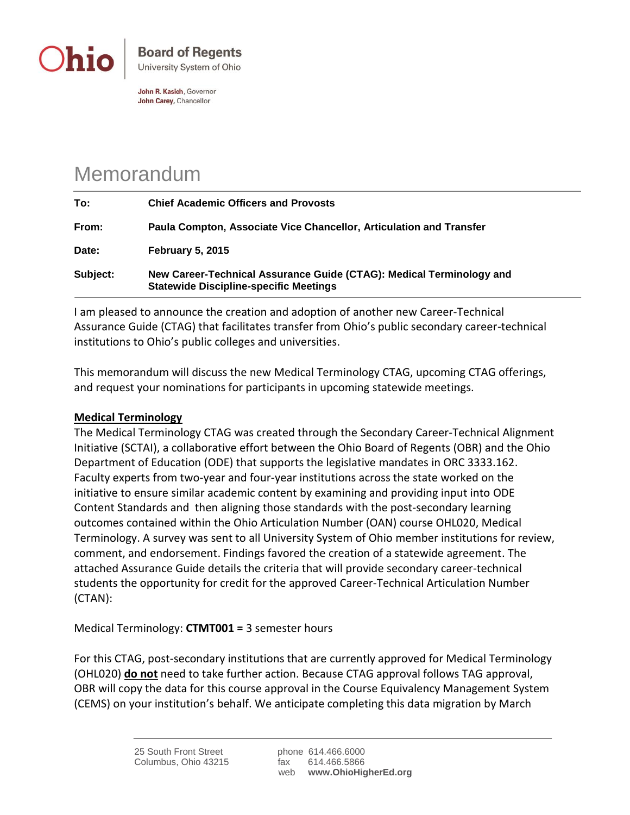

John R. Kasich, Governor John Carey, Chancellor

## Memorandum

| To:      | <b>Chief Academic Officers and Provosts</b>                                                                           |
|----------|-----------------------------------------------------------------------------------------------------------------------|
| From:    | Paula Compton, Associate Vice Chancellor, Articulation and Transfer                                                   |
| Date:    | <b>February 5, 2015</b>                                                                                               |
| Subject: | New Career-Technical Assurance Guide (CTAG): Medical Terminology and<br><b>Statewide Discipline-specific Meetings</b> |

I am pleased to announce the creation and adoption of another new Career-Technical Assurance Guide (CTAG) that facilitates transfer from Ohio's public secondary career-technical institutions to Ohio's public colleges and universities.

This memorandum will discuss the new Medical Terminology CTAG, upcoming CTAG offerings, and request your nominations for participants in upcoming statewide meetings.

## **Medical Terminology**

The Medical Terminology CTAG was created through the Secondary Career-Technical Alignment Initiative (SCTAI), a collaborative effort between the Ohio Board of Regents (OBR) and the Ohio Department of Education (ODE) that supports the legislative mandates in ORC 3333.162. Faculty experts from two-year and four-year institutions across the state worked on the initiative to ensure similar academic content by examining and providing input into ODE Content Standards and then aligning those standards with the post-secondary learning outcomes contained within the Ohio Articulation Number (OAN) course OHL020, Medical Terminology. A survey was sent to all University System of Ohio member institutions for review, comment, and endorsement. Findings favored the creation of a statewide agreement. The attached Assurance Guide details the criteria that will provide secondary career-technical students the opportunity for credit for the approved Career-Technical Articulation Number (CTAN):

Medical Terminology: **CTMT001 =** 3 semester hours

For this CTAG, post-secondary institutions that are currently approved for Medical Terminology (OHL020) **do not** need to take further action. Because CTAG approval follows TAG approval, OBR will copy the data for this course approval in the Course Equivalency Management System (CEMS) on your institution's behalf. We anticipate completing this data migration by March